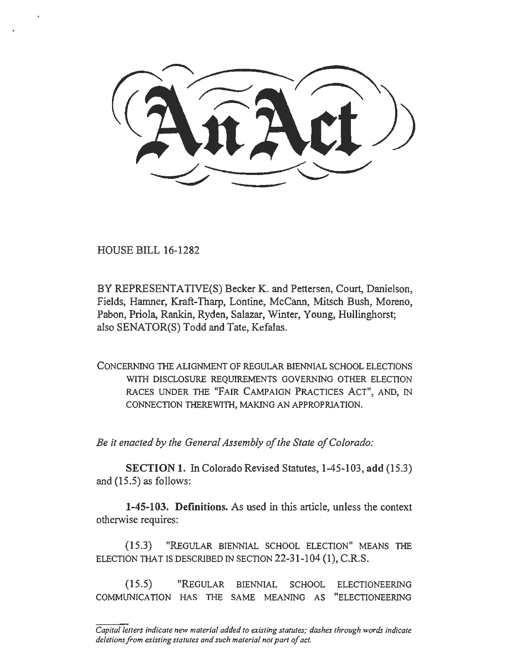HOUSE BILL 16-1282

•·

BY REPRESENTATIVE(S) Becker K. and Pettersen, Court, Danielson, Fields, Hamner, Kraft-Tharp, Lontine, McCann, Mitsch Bush, Moreno, Pabon, Priola, Rankin, Ryden, Salazar, Winter, Young, Hullinghorst; also SENATOR(S) Todd and Tate, Kefalas.

CONCERNING THE ALIGNMENT OF REGULAR BIENNIAL SCHOOL ELECTIONS WITH DISCLOSURE REQUIREMENTS GOVERNING OTHER ELECTION RACES UNDER THE "FAIR CAMPAIGN PRACTICES ACT", AND, IN CONNECTION THEREWITH, MAKING AN APPROPRIATION.

*Be it enacted by the General Assembly of the State of Colorado:* 

SECTION 1. In Colorado Revised Statutes, 1-45-103, add (15.3) and (15.5) as follows:

1-45-103. Definitions. As used in this article, unless the context otherwise requires:

(15.3) "REGULAR BIENNIAL SCHOOL ELECTION" MEANS THE ELECTION THAT IS DESCRIBED IN SECTION 22-31-104 (I), C.R.S.

(15.5) "REGULAR BIENNIAL SCHOOL ELECTIONEERING COMMUNICATION HAS THE SAME MEANING AS "ELECTIONEERING

*Capital letters indicate new material added to existing statutes; dashes through words indicate deletions from existing statutes and such material not part of act.*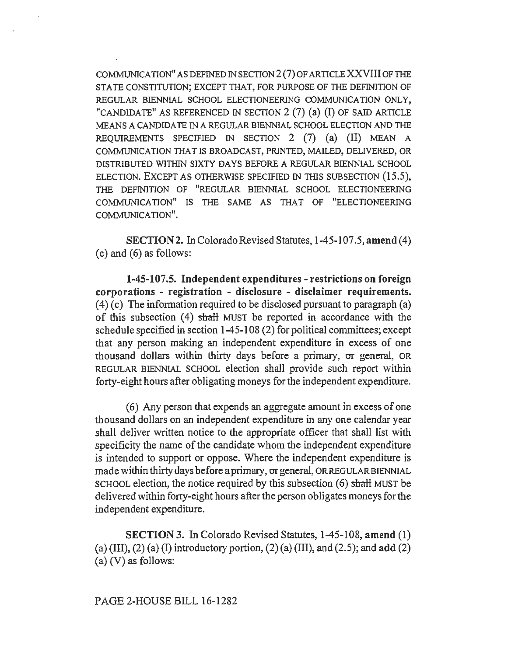COMMUNICATION" AS DEFINED IN SECTION  $2(7)$  OF ARTICLE XXVIII OF THE STATE CONSTITUTION; EXCEPT THAT, FOR PURPOSE OF THE DEFINITION OF REGULAR BIENNIAL SCHOOL ELECTIONEERING COMMUNICATION ONLY, "CANDIDATE" AS REFERENCED IN SECTION  $2(7)$  (a) (I) OF SAID ARTICLE MEANS A CANDIDA TE IN A REGULAR BIENNIAL SCHOOL ELECTION AND THE REQUIREMENTS SPECIFIED IN SECTION 2 (7) (a) (II) MEAN A COMMUNICATION THAT IS BROADCAST, PRINTED, MAILED, DELIVERED, OR DISTRIBUTED WITHIN SIXTY DAYS BEFORE A REGULAR BIENNIAL SCHOOL ELECTION. EXCEPT AS OTHERWISE SPECIFIED IN THIS SUBSECTION (15.5), THE DEFINITION OF "REGULAR BIENNIAL SCHOOL ELECTIONEERING COMMUN1CA TION" IS THE SAME AS THAT OF "ELECTIONEERING COMMUNICATION".

SECTION 2. In Colorado Revised Statutes, 1-45-107 .5, amend ( 4) (c) and (6) as follows:

1-45-107.5. Independent expenditures - restrictions on foreign corporations - registration - disclosure - disclaimer requirements. (4) (c) The information required to be disclosed pursuant to paragraph (a) of this subsection (4) shall MUST be reported in accordance with the schedule specified in section 1-45-108 (2) for political committees; except that any person making an independent expenditure in excess of one thousand dollars within thirty days before a primary, or general, OR REGULAR BIENNIAL SCHOOL election shall provide such report within forty-eight hours after obligating moneys for the independent expenditure.

( 6) Any person that expends an aggregate amount in excess of one thousand dollars on an independent expenditure in any one calendar year shall deliver written notice to the appropriate officer that shall list with specificity the name of the candidate whom the independent expenditure is intended to support or oppose. Where the independent expenditure is made within thirty days before a primary, or general, OR REGULAR BIENNIAL SCHOOL election, the notice required by this subsection (6) shall MUST be delivered within forty-eight hours after the person obligates moneys for the independent expenditure.

SECTION 3. In Colorado Revised Statutes, 1-45-108, amend (1) (a) (III), (2) (a) (I) introductory portion, (2) (a) (III), and (2.5); and add (2) (a) (V) as follows: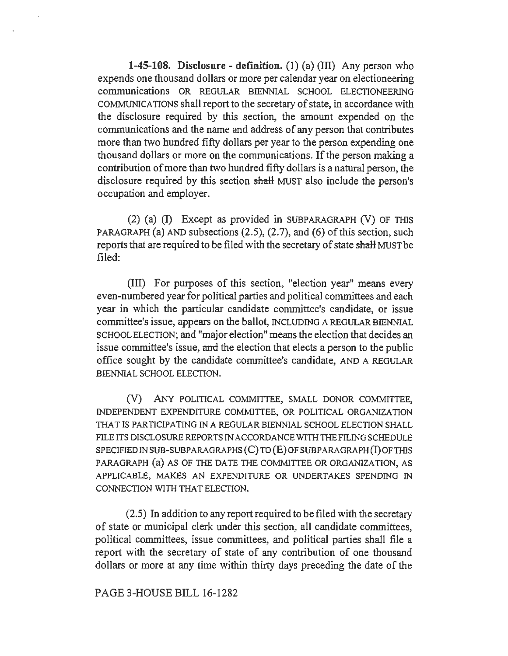**1-45-108. Disclosure - definition.** (I) (a) (ill) Any person who expends one thousand dollars or more per calendar year on electioneering communications OR REGULAR BIENNIAL SCHOOL ELECTIONEERING COMMUNICATIONS shall report to the secretary of state, in accordance with the disclosure required by this section, the amount expended on the communications and the name and address of any person that contributes more than two hundred fifty dollars per year to the person expending one thousand dollars or more on the communications. If the person making a contribution of more than two hundred fifty dollars is a natural person, the disclosure required by this section shalt MUST also include the person's occupation and employer.

(2) (a) (I) Except as provided in SUBPARAGRAPH (V) OF THIS PARAGRAPH (a) AND subsections (2.5), (2.7), and (6) of this section, such reports that are required to be filed with the secretary of state shall MUST be filed:

(Ill) For purposes of this section, "election year" means every even-numbered year for political parties and political committees and each year in which the particular candidate committee's candidate, or issue committee's issue, appears on the ballot, INCLUDING A REGULAR BIENNIAL SCHOOL ELECTION; and "major election" means the election that decides an issue committee's issue, and the election that elects a person to the public office sought by the candidate committee's candidate, AND A REGULAR BIENNIAL SCHOOL ELECTION.

(V) ANY POLITICAL COMMITTEE, SMALL DONOR COMMITTEE, INDEPENDENT EXPENDITURE COMMITTEE, OR POLITICAL ORGANIZATION THAT IS PARTICIPATING IN A REGULAR BIENNIAL SCHOOL ELECTION SHALL FILE ITS DISCLOSURE REPORTS IN ACCORDANCE WITH THE FILING SCHEDULE SPECIFIED IN SUB-SUBPARAGRAPHS (C) TO (E) OF SUBPARAGRAPH (I) OF THIS PARAGRAPH (a) AS OF THE DATE THE COMMITTEE OR ORGANIZATION, AS APPLICABLE, MAKES AN EXPENDITURE OR UNDERTAKES SPENDING IN CONNECTION WITH THAT ELECTION.

(2.5) In addition to any report required to be filed with the secretary of state or municipal clerk under this section, all candidate committees, political committees, issue committees, and political parties shall file a report with the secretary of state of any contribution of one thousand dollars or more at any time within thirty days preceding the date of the

## PAGE 3-HOUSE BILL 16-1282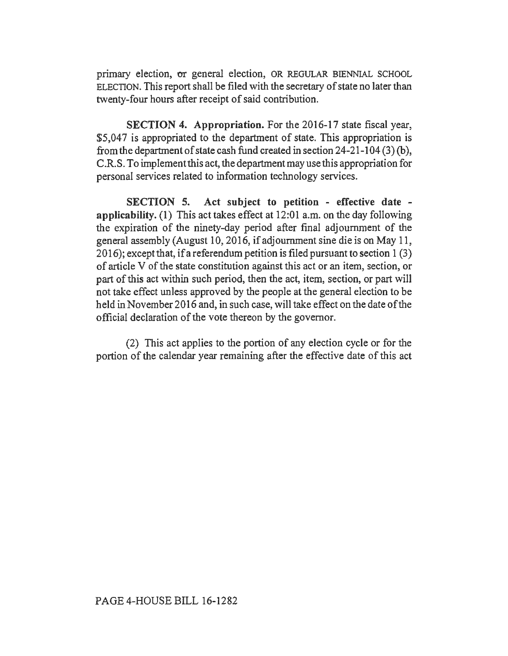primary election, or general election, OR REGULAR BIENNIAL SCHOOL ELECTION. This report shall be filed with the secretary of state no later than twenty-four hours after receipt of said contribution.

SECTION 4. Appropriation. For the 2016-17 state fiscal year, \$5,047 is appropriated to the department of state. This appropriation is from the department of state cash fund created in section 24-21-104 (3) (b), C.R.S. To implement this act, the department may use this appropriation for personal services related to information technology services.

SECTION 5. Act subject to petition - effective date applicability. (1) This act takes effect at 12:01 a.m. on the day following the expiration of the ninety-day period after final adjournment of the general assembly (August 10, 2016, if adjournment sine die is on May 11,  $2016$ ; except that, if a referendum petition is filed pursuant to section 1(3) of article V of the state constitution against this act or an item, section, or part of this act within such period, then the act, item, section, or part will not take effect unless approved by the people at the general election to be held in November 2016 and, in such case, will take effect on the date of the official declaration of the vote thereon by the governor.

(2) This act applies to the portion of any election cycle or for the portion of the calendar year remaining after the effective date of this act